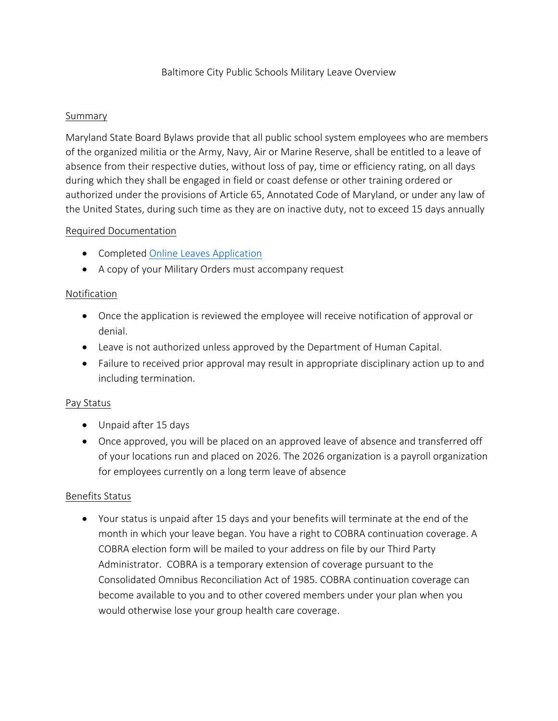#### **Summary**

Maryland State Board Bylaws provide that all public school system employees who are members of the organized militia or the Army, Navy, Air or Marine Reserve, shall be entitled to a leave of absence from their respective duties, without loss of pay, time or efficiency rating, on all days during which they shall be engaged in field or coast defense or other training ordered or authorized under the provisions of Article 65, Annotated Code of Maryland, or under any law of the United States, during such time as they are on inactive duty, not to exceed 15 days annually

#### Required Documentation

- Completed [Online Leaves Application](https://forms.office.com/Pages/ResponsePage.aspx?id=9LJbBuNvT0GpEPKIYwXIFBnhxb7D_0RFuekVM8XY2ktUNjVHUTQxREFHNVZCVVlQRFdRNDRaNEJSMSQlQCN0PWcu)
- A copy of your Military Orders must accompany request

## Notification

- Once the application is reviewed the employee will receive notification of approval or denial.
- Leave is not authorized unless approved by the Department of Human Capital.
- Failure to received prior approval may result in appropriate disciplinary action up to and including termination.

## Pay Status

- Unpaid after 15 days
- Once approved, you will be placed on an approved leave of absence and transferred off of your locations run and placed on 2026. The 2026 organization is a payroll organization for employees currently on a long term leave of absence

## Benefits Status

• Your status is unpaid after 15 days and your benefits will terminate at the end of the month in which your leave began. You have a right to COBRA continuation coverage. A COBRA election form will be mailed to your address on file by our Third Party Administrator. COBRA is a temporary extension of coverage pursuant to the Consolidated Omnibus Reconciliation Act of 1985. COBRA continuation coverage can become available to you and to other covered members under your plan when you would otherwise lose your group health care coverage.